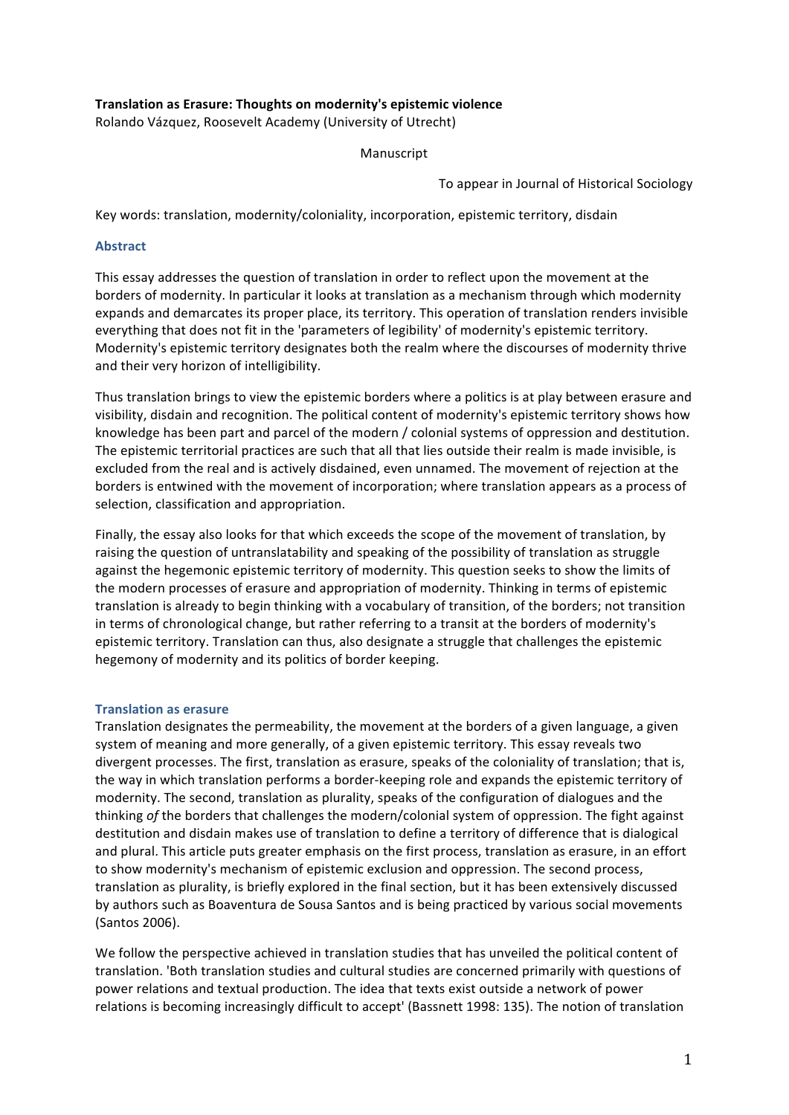# **Translation as Erasure: Thoughts on modernity's epistemic violence**

Rolando Vázquez, Roosevelt Academy (University of Utrecht)

Manuscript

To appear in Journal of Historical Sociology

Key words: translation, modernity/coloniality, incorporation, epistemic territory, disdain

# **Abstract**

This essay addresses the question of translation in order to reflect upon the movement at the borders of modernity. In particular it looks at translation as a mechanism through which modernity expands and demarcates its proper place, its territory. This operation of translation renders invisible everything that does not fit in the 'parameters of legibility' of modernity's epistemic territory. Modernity's epistemic territory designates both the realm where the discourses of modernity thrive and their very horizon of intelligibility.

Thus translation brings to view the epistemic borders where a politics is at play between erasure and visibility, disdain and recognition. The political content of modernity's epistemic territory shows how knowledge has been part and parcel of the modern / colonial systems of oppression and destitution. The epistemic territorial practices are such that all that lies outside their realm is made invisible, is excluded from the real and is actively disdained, even unnamed. The movement of rejection at the borders is entwined with the movement of incorporation; where translation appears as a process of selection, classification and appropriation.

Finally, the essay also looks for that which exceeds the scope of the movement of translation, by raising the question of untranslatability and speaking of the possibility of translation as struggle against the hegemonic epistemic territory of modernity. This question seeks to show the limits of the modern processes of erasure and appropriation of modernity. Thinking in terms of epistemic translation is already to begin thinking with a vocabulary of transition, of the borders; not transition in terms of chronological change, but rather referring to a transit at the borders of modernity's epistemic territory. Translation can thus, also designate a struggle that challenges the epistemic hegemony of modernity and its politics of border keeping.

## **Translation as erasure**

Translation designates the permeability, the movement at the borders of a given language, a given system of meaning and more generally, of a given epistemic territory. This essay reveals two divergent processes. The first, translation as erasure, speaks of the coloniality of translation; that is, the way in which translation performs a border-keeping role and expands the epistemic territory of modernity. The second, translation as plurality, speaks of the configuration of dialogues and the thinking of the borders that challenges the modern/colonial system of oppression. The fight against destitution and disdain makes use of translation to define a territory of difference that is dialogical and plural. This article puts greater emphasis on the first process, translation as erasure, in an effort to show modernity's mechanism of epistemic exclusion and oppression. The second process, translation as plurality, is briefly explored in the final section, but it has been extensively discussed by authors such as Boaventura de Sousa Santos and is being practiced by various social movements (Santos 2006).

We follow the perspective achieved in translation studies that has unveiled the political content of translation. 'Both translation studies and cultural studies are concerned primarily with questions of power relations and textual production. The idea that texts exist outside a network of power relations is becoming increasingly difficult to accept' (Bassnett 1998: 135). The notion of translation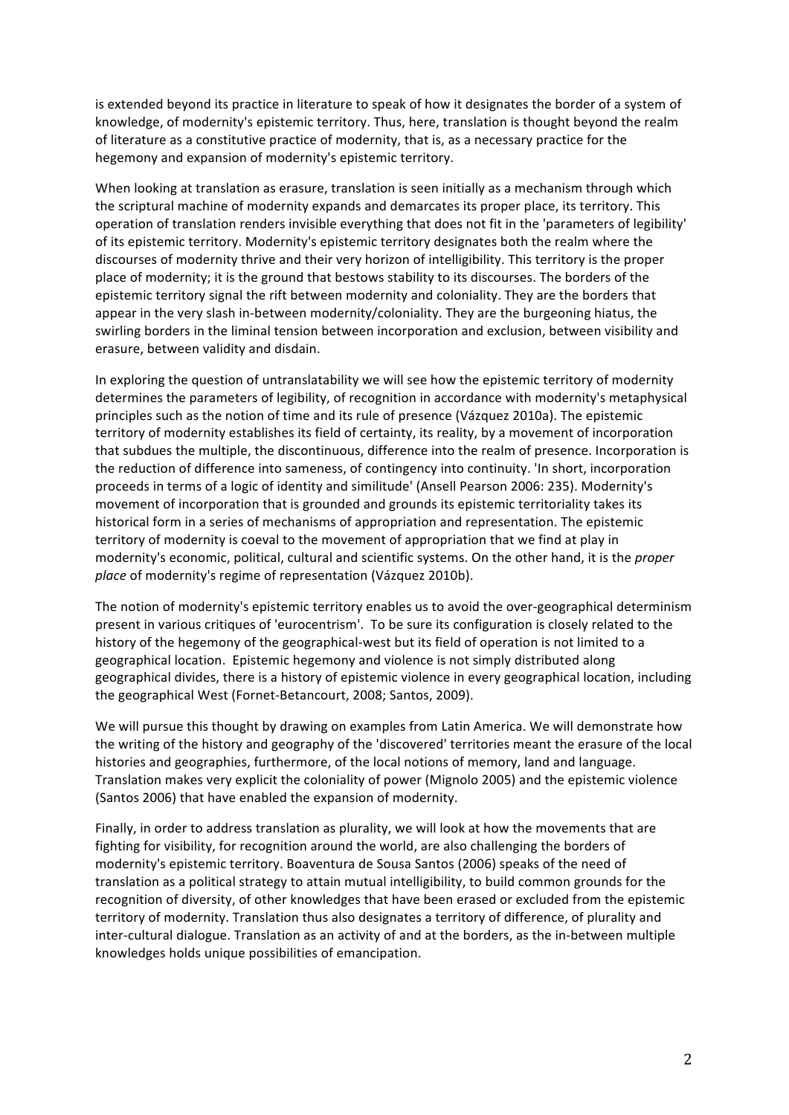is extended beyond its practice in literature to speak of how it designates the border of a system of knowledge, of modernity's epistemic territory. Thus, here, translation is thought beyond the realm of literature as a constitutive practice of modernity, that is, as a necessary practice for the hegemony and expansion of modernity's epistemic territory.

When looking at translation as erasure, translation is seen initially as a mechanism through which the scriptural machine of modernity expands and demarcates its proper place, its territory. This operation of translation renders invisible everything that does not fit in the 'parameters of legibility' of its epistemic territory. Modernity's epistemic territory designates both the realm where the discourses of modernity thrive and their very horizon of intelligibility. This territory is the proper place of modernity; it is the ground that bestows stability to its discourses. The borders of the epistemic territory signal the rift between modernity and coloniality. They are the borders that appear in the very slash in-between modernity/coloniality. They are the burgeoning hiatus, the swirling borders in the liminal tension between incorporation and exclusion, between visibility and erasure, between validity and disdain.

In exploring the question of untranslatability we will see how the epistemic territory of modernity determines the parameters of legibility, of recognition in accordance with modernity's metaphysical principles such as the notion of time and its rule of presence (Vázquez 2010a). The epistemic territory of modernity establishes its field of certainty, its reality, by a movement of incorporation that subdues the multiple, the discontinuous, difference into the realm of presence. Incorporation is the reduction of difference into sameness, of contingency into continuity. 'In short, incorporation proceeds in terms of a logic of identity and similitude' (Ansell Pearson 2006: 235). Modernity's movement of incorporation that is grounded and grounds its epistemic territoriality takes its historical form in a series of mechanisms of appropriation and representation. The epistemic territory of modernity is coeval to the movement of appropriation that we find at play in modernity's economic, political, cultural and scientific systems. On the other hand, it is the *proper place* of modernity's regime of representation (Vázquez 2010b).

The notion of modernity's epistemic territory enables us to avoid the over-geographical determinism present in various critiques of 'eurocentrism'. To be sure its configuration is closely related to the history of the hegemony of the geographical-west but its field of operation is not limited to a geographical location. Epistemic hegemony and violence is not simply distributed along geographical divides, there is a history of epistemic violence in every geographical location, including the geographical West (Fornet-Betancourt, 2008; Santos, 2009).

We will pursue this thought by drawing on examples from Latin America. We will demonstrate how the writing of the history and geography of the 'discovered' territories meant the erasure of the local histories and geographies, furthermore, of the local notions of memory, land and language. Translation makes very explicit the coloniality of power (Mignolo 2005) and the epistemic violence (Santos 2006) that have enabled the expansion of modernity.

Finally, in order to address translation as plurality, we will look at how the movements that are fighting for visibility, for recognition around the world, are also challenging the borders of modernity's epistemic territory. Boaventura de Sousa Santos (2006) speaks of the need of translation as a political strategy to attain mutual intelligibility, to build common grounds for the recognition of diversity, of other knowledges that have been erased or excluded from the epistemic territory of modernity. Translation thus also designates a territory of difference, of plurality and inter-cultural dialogue. Translation as an activity of and at the borders, as the in-between multiple knowledges holds unique possibilities of emancipation.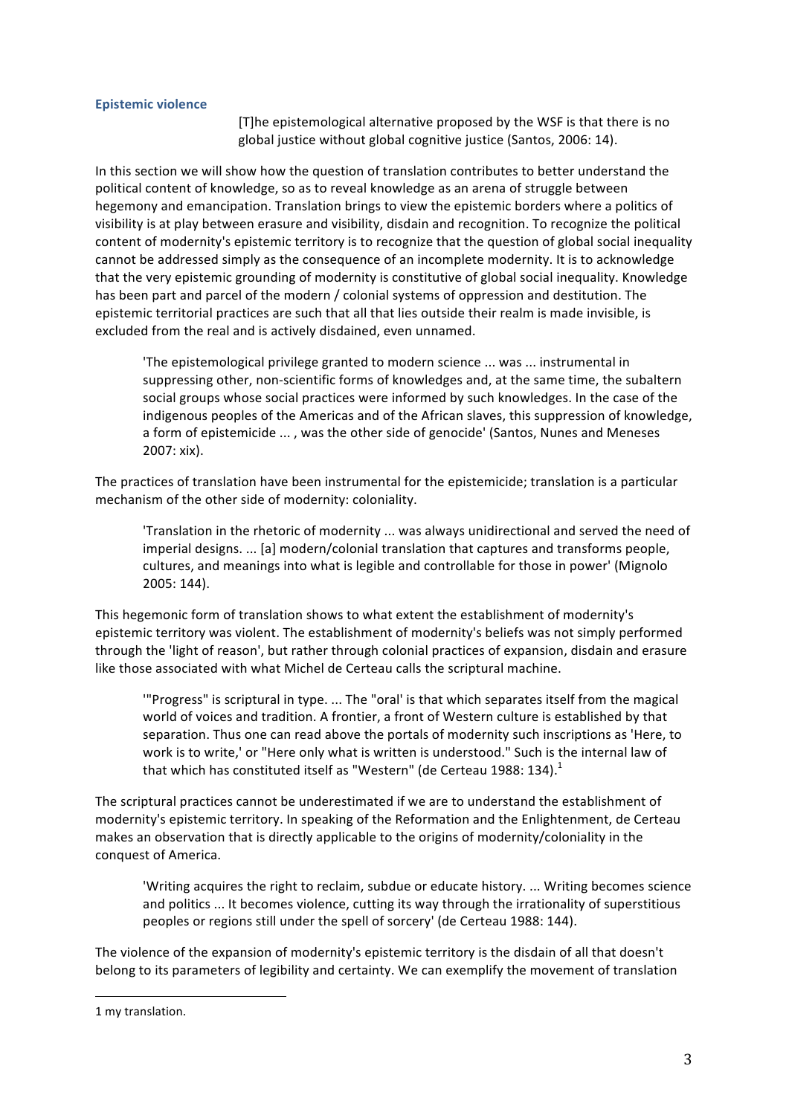### **Epistemic violence**

[T]he epistemological alternative proposed by the WSF is that there is no global justice without global cognitive justice (Santos, 2006: 14).

In this section we will show how the question of translation contributes to better understand the political content of knowledge, so as to reveal knowledge as an arena of struggle between hegemony and emancipation. Translation brings to view the epistemic borders where a politics of visibility is at play between erasure and visibility, disdain and recognition. To recognize the political content of modernity's epistemic territory is to recognize that the question of global social inequality cannot be addressed simply as the consequence of an incomplete modernity. It is to acknowledge that the very epistemic grounding of modernity is constitutive of global social inequality. Knowledge has been part and parcel of the modern / colonial systems of oppression and destitution. The epistemic territorial practices are such that all that lies outside their realm is made invisible, is excluded from the real and is actively disdained, even unnamed.

'The epistemological privilege granted to modern science ... was ... instrumental in suppressing other, non-scientific forms of knowledges and, at the same time, the subaltern social groups whose social practices were informed by such knowledges. In the case of the indigenous peoples of the Americas and of the African slaves, this suppression of knowledge, a form of epistemicide ..., was the other side of genocide' (Santos, Nunes and Meneses 2007: xix).

The practices of translation have been instrumental for the epistemicide; translation is a particular mechanism of the other side of modernity: coloniality.

'Translation in the rhetoric of modernity ... was always unidirectional and served the need of imperial designs. ... [a] modern/colonial translation that captures and transforms people, cultures, and meanings into what is legible and controllable for those in power' (Mignolo 2005: 144).

This hegemonic form of translation shows to what extent the establishment of modernity's epistemic territory was violent. The establishment of modernity's beliefs was not simply performed through the 'light of reason', but rather through colonial practices of expansion, disdain and erasure like those associated with what Michel de Certeau calls the scriptural machine.

"'Progress" is scriptural in type. ... The "oral' is that which separates itself from the magical world of voices and tradition. A frontier, a front of Western culture is established by that separation. Thus one can read above the portals of modernity such inscriptions as 'Here, to work is to write,' or "Here only what is written is understood." Such is the internal law of that which has constituted itself as "Western" (de Certeau 1988: 134). $^{\text{1}}$ 

The scriptural practices cannot be underestimated if we are to understand the establishment of modernity's epistemic territory. In speaking of the Reformation and the Enlightenment, de Certeau makes an observation that is directly applicable to the origins of modernity/coloniality in the conquest of America.

'Writing acquires the right to reclaim, subdue or educate history. ... Writing becomes science and politics ... It becomes violence, cutting its way through the irrationality of superstitious peoples or regions still under the spell of sorcery' (de Certeau 1988: 144).

The violence of the expansion of modernity's epistemic territory is the disdain of all that doesn't belong to its parameters of legibility and certainty. We can exemplify the movement of translation

<sup>1</sup> my translation.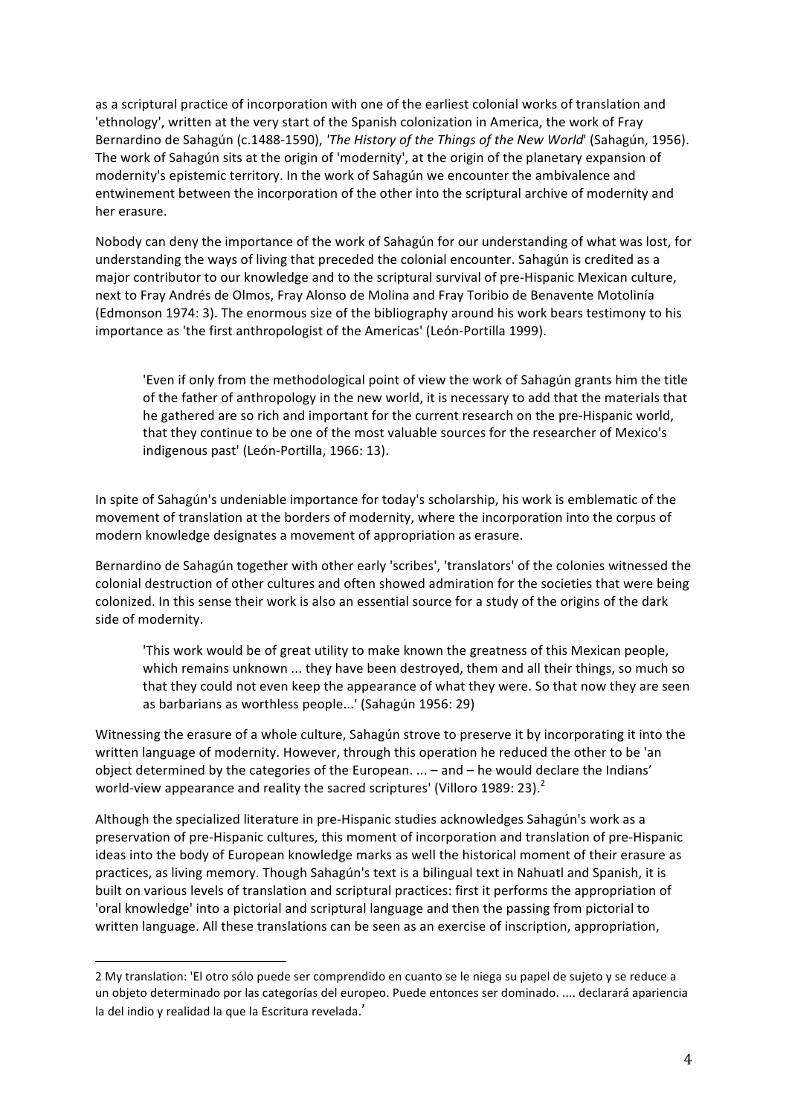as a scriptural practice of incorporation with one of the earliest colonial works of translation and 'ethnology', written at the very start of the Spanish colonization in America, the work of Fray Bernardino de Sahagún (c.1488-1590), 'The History of the Things of the New World' (Sahagún, 1956). The work of Sahagún sits at the origin of 'modernity', at the origin of the planetary expansion of modernity's epistemic territory. In the work of Sahagún we encounter the ambivalence and entwinement between the incorporation of the other into the scriptural archive of modernity and her erasure.

Nobody can deny the importance of the work of Sahagún for our understanding of what was lost, for understanding the ways of living that preceded the colonial encounter. Sahagún is credited as a major contributor to our knowledge and to the scriptural survival of pre-Hispanic Mexican culture, next to Fray Andrés de Olmos, Fray Alonso de Molina and Fray Toribio de Benavente Motolinía (Edmonson 1974: 3). The enormous size of the bibliography around his work bears testimony to his importance as 'the first anthropologist of the Americas' (León-Portilla 1999).

'Even if only from the methodological point of view the work of Sahagún grants him the title of the father of anthropology in the new world, it is necessary to add that the materials that he gathered are so rich and important for the current research on the pre-Hispanic world, that they continue to be one of the most valuable sources for the researcher of Mexico's indigenous past' (León-Portilla, 1966: 13).

In spite of Sahagún's undeniable importance for today's scholarship, his work is emblematic of the movement of translation at the borders of modernity, where the incorporation into the corpus of modern knowledge designates a movement of appropriation as erasure.

Bernardino de Sahagún together with other early 'scribes', 'translators' of the colonies witnessed the colonial destruction of other cultures and often showed admiration for the societies that were being colonized. In this sense their work is also an essential source for a study of the origins of the dark side of modernity.

'This work would be of great utility to make known the greatness of this Mexican people, which remains unknown ... they have been destroyed, them and all their things, so much so that they could not even keep the appearance of what they were. So that now they are seen as barbarians as worthless people...' (Sahagún 1956: 29)

Witnessing the erasure of a whole culture, Sahagún strove to preserve it by incorporating it into the written language of modernity. However, through this operation he reduced the other to be 'an object determined by the categories of the European.  $\dots$  – and – he would declare the Indians' world-view appearance and reality the sacred scriptures' (Villoro 1989: 23).<sup>2</sup>

Although the specialized literature in pre-Hispanic studies acknowledges Sahagún's work as a preservation of pre-Hispanic cultures, this moment of incorporation and translation of pre-Hispanic ideas into the body of European knowledge marks as well the historical moment of their erasure as practices, as living memory. Though Sahagún's text is a bilingual text in Nahuatl and Spanish, it is built on various levels of translation and scriptural practices: first it performs the appropriation of 'oral knowledge' into a pictorial and scriptural language and then the passing from pictorial to written language. All these translations can be seen as an exercise of inscription, appropriation,

<sup>2</sup> My translation: 'El otro sólo puede ser comprendido en cuanto se le niega su papel de sujeto y se reduce a un objeto determinado por las categorías del europeo. Puede entonces ser dominado. .... declarará apariencia la del indio y realidad la que la Escritura revelada.'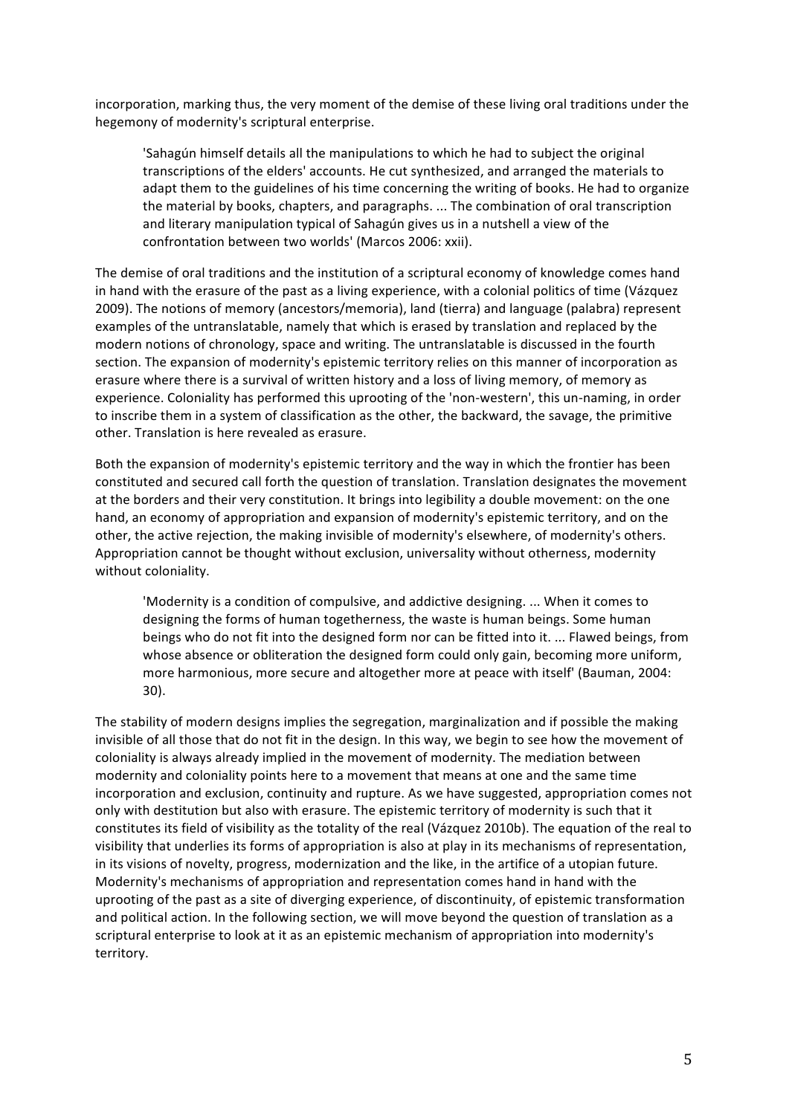incorporation, marking thus, the very moment of the demise of these living oral traditions under the hegemony of modernity's scriptural enterprise.

'Sahagún himself details all the manipulations to which he had to subject the original transcriptions of the elders' accounts. He cut synthesized, and arranged the materials to adapt them to the guidelines of his time concerning the writing of books. He had to organize the material by books, chapters, and paragraphs. ... The combination of oral transcription and literary manipulation typical of Sahagún gives us in a nutshell a view of the confrontation between two worlds' (Marcos 2006: xxii).

The demise of oral traditions and the institution of a scriptural economy of knowledge comes hand in hand with the erasure of the past as a living experience, with a colonial politics of time (Vázquez 2009). The notions of memory (ancestors/memoria), land (tierra) and language (palabra) represent examples of the untranslatable, namely that which is erased by translation and replaced by the modern notions of chronology, space and writing. The untranslatable is discussed in the fourth section. The expansion of modernity's epistemic territory relies on this manner of incorporation as erasure where there is a survival of written history and a loss of living memory, of memory as experience. Coloniality has performed this uprooting of the 'non-western', this un-naming, in order to inscribe them in a system of classification as the other, the backward, the savage, the primitive other. Translation is here revealed as erasure.

Both the expansion of modernity's epistemic territory and the way in which the frontier has been constituted and secured call forth the question of translation. Translation designates the movement at the borders and their very constitution. It brings into legibility a double movement: on the one hand, an economy of appropriation and expansion of modernity's epistemic territory, and on the other, the active rejection, the making invisible of modernity's elsewhere, of modernity's others. Appropriation cannot be thought without exclusion, universality without otherness, modernity without coloniality.

'Modernity is a condition of compulsive, and addictive designing. ... When it comes to designing the forms of human togetherness, the waste is human beings. Some human beings who do not fit into the designed form nor can be fitted into it. ... Flawed beings, from whose absence or obliteration the designed form could only gain, becoming more uniform, more harmonious, more secure and altogether more at peace with itself' (Bauman, 2004: 30).

The stability of modern designs implies the segregation, marginalization and if possible the making invisible of all those that do not fit in the design. In this way, we begin to see how the movement of coloniality is always already implied in the movement of modernity. The mediation between modernity and coloniality points here to a movement that means at one and the same time incorporation and exclusion, continuity and rupture. As we have suggested, appropriation comes not only with destitution but also with erasure. The epistemic territory of modernity is such that it constitutes its field of visibility as the totality of the real (Vázquez 2010b). The equation of the real to visibility that underlies its forms of appropriation is also at play in its mechanisms of representation, in its visions of novelty, progress, modernization and the like, in the artifice of a utopian future. Modernity's mechanisms of appropriation and representation comes hand in hand with the uprooting of the past as a site of diverging experience, of discontinuity, of epistemic transformation and political action. In the following section, we will move beyond the question of translation as a scriptural enterprise to look at it as an epistemic mechanism of appropriation into modernity's territory.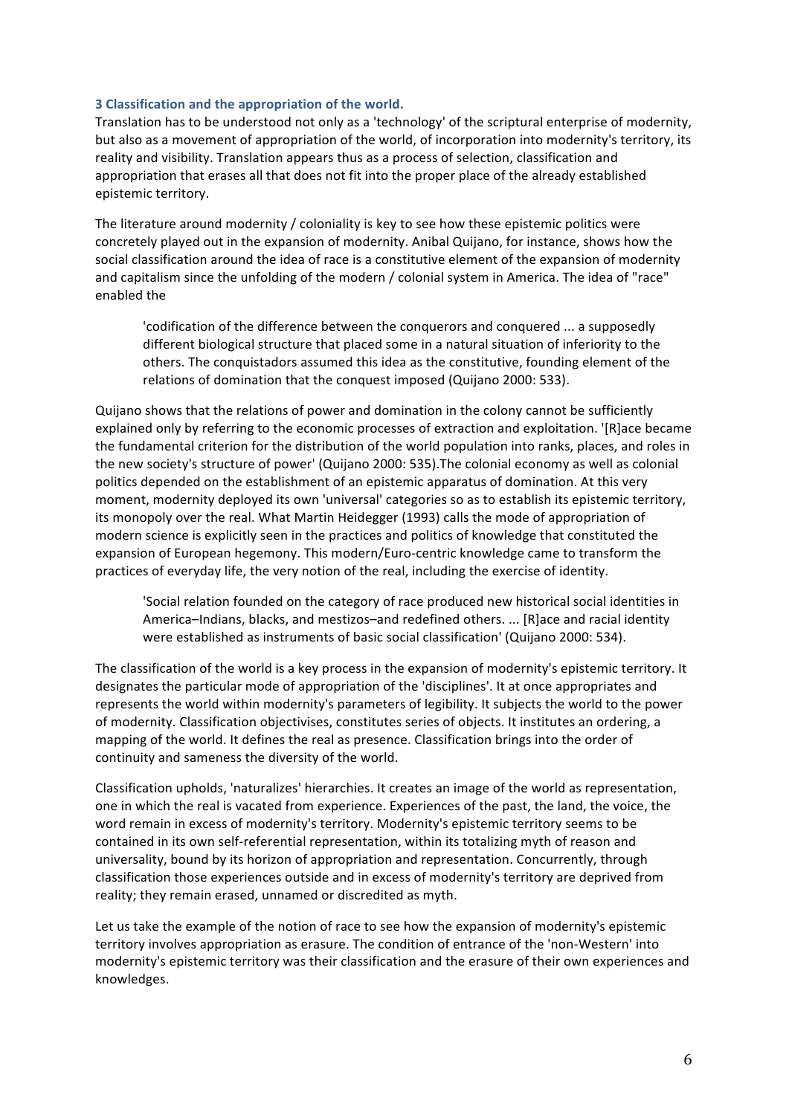# **3 Classification and the appropriation of the world.**

Translation has to be understood not only as a 'technology' of the scriptural enterprise of modernity, but also as a movement of appropriation of the world, of incorporation into modernity's territory, its reality and visibility. Translation appears thus as a process of selection, classification and appropriation that erases all that does not fit into the proper place of the already established epistemic territory.

The literature around modernity / coloniality is key to see how these epistemic politics were concretely played out in the expansion of modernity. Anibal Quijano, for instance, shows how the social classification around the idea of race is a constitutive element of the expansion of modernity and capitalism since the unfolding of the modern / colonial system in America. The idea of "race" enabled the

'codification of the difference between the conquerors and conquered ... a supposedly different biological structure that placed some in a natural situation of inferiority to the others. The conquistadors assumed this idea as the constitutive, founding element of the relations of domination that the conquest imposed (Quijano 2000: 533).

Quijano shows that the relations of power and domination in the colony cannot be sufficiently explained only by referring to the economic processes of extraction and exploitation. '[R]ace became the fundamental criterion for the distribution of the world population into ranks, places, and roles in the new society's structure of power' (Quijano 2000: 535). The colonial economy as well as colonial politics depended on the establishment of an epistemic apparatus of domination. At this very moment, modernity deployed its own 'universal' categories so as to establish its epistemic territory, its monopoly over the real. What Martin Heidegger (1993) calls the mode of appropriation of modern science is explicitly seen in the practices and politics of knowledge that constituted the expansion of European hegemony. This modern/Euro-centric knowledge came to transform the practices of everyday life, the very notion of the real, including the exercise of identity.

'Social relation founded on the category of race produced new historical social identities in America–Indians, blacks, and mestizos–and redefined others. ... [R]ace and racial identity were established as instruments of basic social classification' (Quijano 2000: 534).

The classification of the world is a key process in the expansion of modernity's epistemic territory. It designates the particular mode of appropriation of the 'disciplines'. It at once appropriates and represents the world within modernity's parameters of legibility. It subjects the world to the power of modernity. Classification objectivises, constitutes series of objects. It institutes an ordering, a mapping of the world. It defines the real as presence. Classification brings into the order of continuity and sameness the diversity of the world.

Classification upholds, 'naturalizes' hierarchies. It creates an image of the world as representation, one in which the real is vacated from experience. Experiences of the past, the land, the voice, the word remain in excess of modernity's territory. Modernity's epistemic territory seems to be contained in its own self-referential representation, within its totalizing myth of reason and universality, bound by its horizon of appropriation and representation. Concurrently, through classification those experiences outside and in excess of modernity's territory are deprived from reality; they remain erased, unnamed or discredited as myth.

Let us take the example of the notion of race to see how the expansion of modernity's epistemic territory involves appropriation as erasure. The condition of entrance of the 'non-Western' into modernity's epistemic territory was their classification and the erasure of their own experiences and knowledges.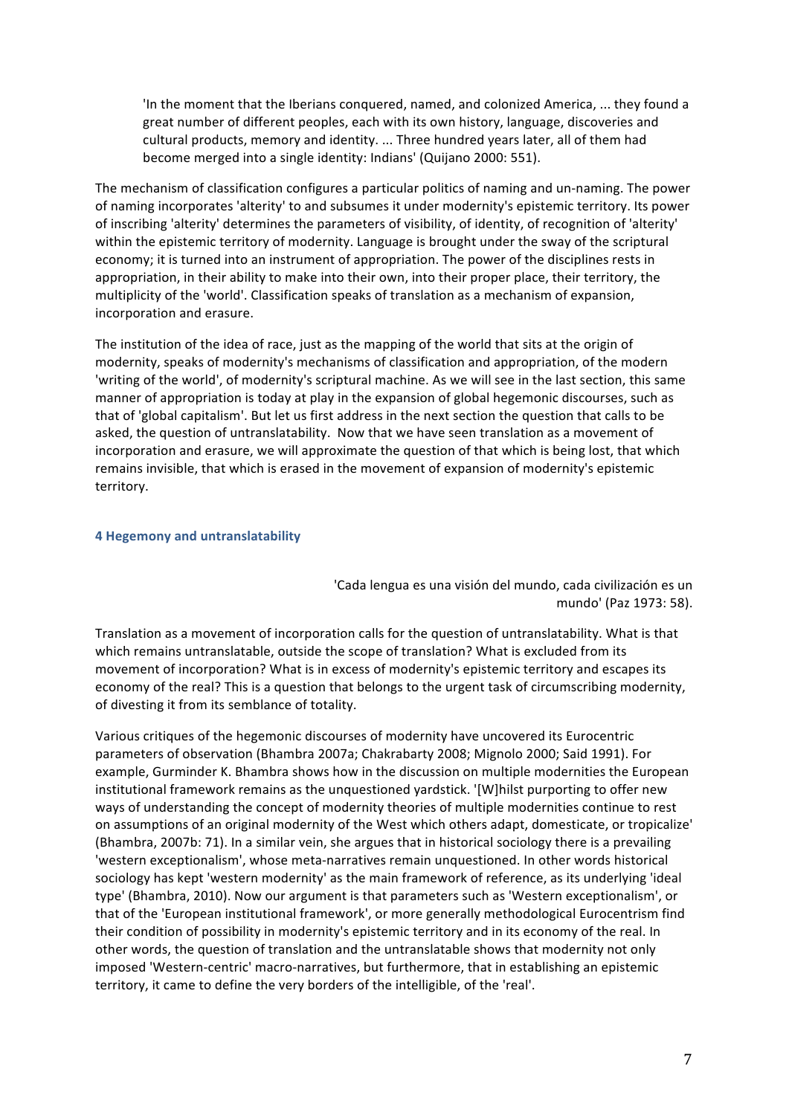'In the moment that the Iberians conquered, named, and colonized America, ... they found a great number of different peoples, each with its own history, language, discoveries and cultural products, memory and identity. ... Three hundred years later, all of them had become merged into a single identity: Indians' (Quijano 2000: 551).

The mechanism of classification configures a particular politics of naming and un-naming. The power of naming incorporates 'alterity' to and subsumes it under modernity's epistemic territory. Its power of inscribing 'alterity' determines the parameters of visibility, of identity, of recognition of 'alterity' within the epistemic territory of modernity. Language is brought under the sway of the scriptural economy; it is turned into an instrument of appropriation. The power of the disciplines rests in appropriation, in their ability to make into their own, into their proper place, their territory, the multiplicity of the 'world'. Classification speaks of translation as a mechanism of expansion, incorporation and erasure.

The institution of the idea of race, just as the mapping of the world that sits at the origin of modernity, speaks of modernity's mechanisms of classification and appropriation, of the modern 'writing of the world', of modernity's scriptural machine. As we will see in the last section, this same manner of appropriation is today at play in the expansion of global hegemonic discourses, such as that of 'global capitalism'. But let us first address in the next section the question that calls to be asked, the question of untranslatability. Now that we have seen translation as a movement of incorporation and erasure, we will approximate the question of that which is being lost, that which remains invisible, that which is erased in the movement of expansion of modernity's epistemic territory.

#### **4 Hegemony and untranslatability**

'Cada lengua es una visión del mundo, cada civilización es un mundo' (Paz 1973: 58).

Translation as a movement of incorporation calls for the question of untranslatability. What is that which remains untranslatable, outside the scope of translation? What is excluded from its movement of incorporation? What is in excess of modernity's epistemic territory and escapes its economy of the real? This is a question that belongs to the urgent task of circumscribing modernity, of divesting it from its semblance of totality.

Various critiques of the hegemonic discourses of modernity have uncovered its Eurocentric parameters of observation (Bhambra 2007a; Chakrabarty 2008; Mignolo 2000; Said 1991). For example, Gurminder K. Bhambra shows how in the discussion on multiple modernities the European institutional framework remains as the unquestioned yardstick. '[W]hilst purporting to offer new ways of understanding the concept of modernity theories of multiple modernities continue to rest on assumptions of an original modernity of the West which others adapt, domesticate, or tropicalize' (Bhambra, 2007b: 71). In a similar vein, she argues that in historical sociology there is a prevailing 'western exceptionalism', whose meta-narratives remain unquestioned. In other words historical sociology has kept 'western modernity' as the main framework of reference, as its underlying 'ideal type' (Bhambra, 2010). Now our argument is that parameters such as 'Western exceptionalism', or that of the 'European institutional framework', or more generally methodological Eurocentrism find their condition of possibility in modernity's epistemic territory and in its economy of the real. In other words, the question of translation and the untranslatable shows that modernity not only imposed 'Western-centric' macro-narratives, but furthermore, that in establishing an epistemic territory, it came to define the very borders of the intelligible, of the 'real'.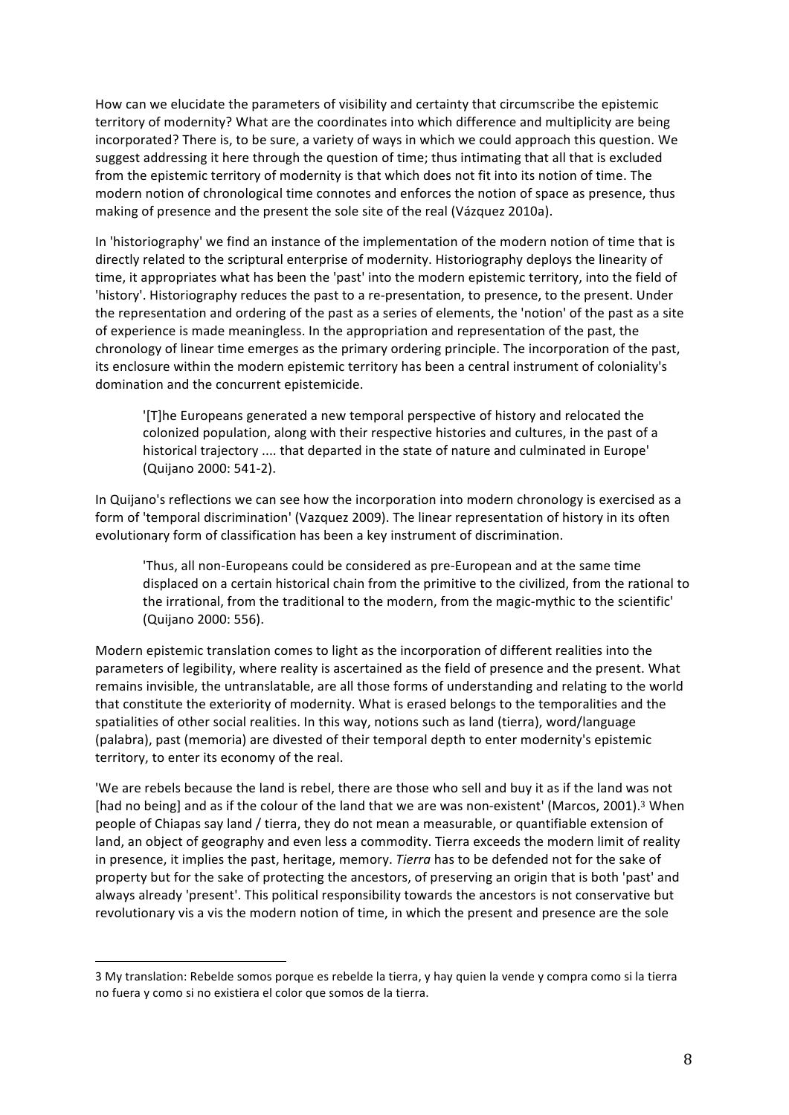How can we elucidate the parameters of visibility and certainty that circumscribe the epistemic territory of modernity? What are the coordinates into which difference and multiplicity are being incorporated? There is, to be sure, a variety of ways in which we could approach this question. We suggest addressing it here through the question of time; thus intimating that all that is excluded from the epistemic territory of modernity is that which does not fit into its notion of time. The modern notion of chronological time connotes and enforces the notion of space as presence, thus making of presence and the present the sole site of the real (Vázquez 2010a).

In 'historiography' we find an instance of the implementation of the modern notion of time that is directly related to the scriptural enterprise of modernity. Historiography deploys the linearity of time, it appropriates what has been the 'past' into the modern epistemic territory, into the field of 'history'. Historiography reduces the past to a re-presentation, to presence, to the present. Under the representation and ordering of the past as a series of elements, the 'notion' of the past as a site of experience is made meaningless. In the appropriation and representation of the past, the chronology of linear time emerges as the primary ordering principle. The incorporation of the past, its enclosure within the modern epistemic territory has been a central instrument of coloniality's domination and the concurrent epistemicide.

'[T]he Europeans generated a new temporal perspective of history and relocated the colonized population, along with their respective histories and cultures, in the past of a historical trajectory .... that departed in the state of nature and culminated in Europe' (Quijano 2000: 541-2).

In Quijano's reflections we can see how the incorporation into modern chronology is exercised as a form of 'temporal discrimination' (Vazquez 2009). The linear representation of history in its often evolutionary form of classification has been a key instrument of discrimination.

'Thus, all non-Europeans could be considered as pre-European and at the same time displaced on a certain historical chain from the primitive to the civilized, from the rational to the irrational, from the traditional to the modern, from the magic-mythic to the scientific' (Quijano 2000: 556).

Modern epistemic translation comes to light as the incorporation of different realities into the parameters of legibility, where reality is ascertained as the field of presence and the present. What remains invisible, the untranslatable, are all those forms of understanding and relating to the world that constitute the exteriority of modernity. What is erased belongs to the temporalities and the spatialities of other social realities. In this way, notions such as land (tierra), word/language (palabra), past (memoria) are divested of their temporal depth to enter modernity's epistemic territory, to enter its economy of the real.

'We are rebels because the land is rebel, there are those who sell and buy it as if the land was not [had no being] and as if the colour of the land that we are was non-existent' (Marcos, 2001).<sup>3</sup> When people of Chiapas say land / tierra, they do not mean a measurable, or quantifiable extension of land, an object of geography and even less a commodity. Tierra exceeds the modern limit of reality in presence, it implies the past, heritage, memory. *Tierra* has to be defended not for the sake of property but for the sake of protecting the ancestors, of preserving an origin that is both 'past' and always already 'present'. This political responsibility towards the ancestors is not conservative but revolutionary vis a vis the modern notion of time, in which the present and presence are the sole

<sup>3</sup> My translation: Rebelde somos porque es rebelde la tierra, y hay quien la vende y compra como si la tierra no fuera y como si no existiera el color que somos de la tierra.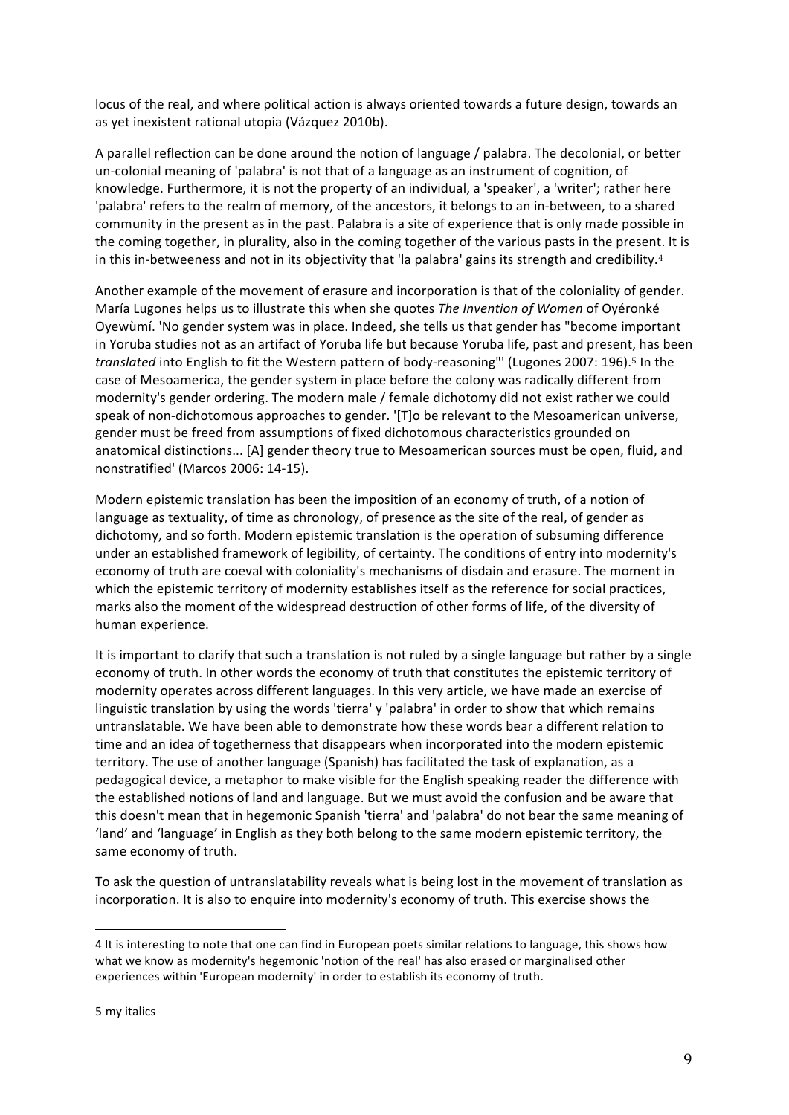locus of the real, and where political action is always oriented towards a future design, towards an as yet inexistent rational utopia (Vázquez 2010b).

A parallel reflection can be done around the notion of language / palabra. The decolonial, or better un-colonial meaning of 'palabra' is not that of a language as an instrument of cognition, of knowledge. Furthermore, it is not the property of an individual, a 'speaker', a 'writer'; rather here 'palabra' refers to the realm of memory, of the ancestors, it belongs to an in-between, to a shared community in the present as in the past. Palabra is a site of experience that is only made possible in the coming together, in plurality, also in the coming together of the various pasts in the present. It is in this in-betweeness and not in its objectivity that 'la palabra' gains its strength and credibility.<sup>4</sup>

Another example of the movement of erasure and incorporation is that of the coloniality of gender. María Lugones helps us to illustrate this when she quotes *The Invention of Women* of Oyéronké Oyewùmí. 'No gender system was in place. Indeed, she tells us that gender has "become important in Yoruba studies not as an artifact of Yoruba life but because Yoruba life, past and present, has been *translated* into English to fit the Western pattern of body-reasoning"' (Lugones 2007: 196).<sup>5</sup> In the case of Mesoamerica, the gender system in place before the colony was radically different from modernity's gender ordering. The modern male / female dichotomy did not exist rather we could speak of non-dichotomous approaches to gender. '[T]o be relevant to the Mesoamerican universe, gender must be freed from assumptions of fixed dichotomous characteristics grounded on anatomical distinctions... [A] gender theory true to Mesoamerican sources must be open, fluid, and nonstratified' (Marcos 2006: 14-15).

Modern epistemic translation has been the imposition of an economy of truth, of a notion of language as textuality, of time as chronology, of presence as the site of the real, of gender as dichotomy, and so forth. Modern epistemic translation is the operation of subsuming difference under an established framework of legibility, of certainty. The conditions of entry into modernity's economy of truth are coeval with coloniality's mechanisms of disdain and erasure. The moment in which the epistemic territory of modernity establishes itself as the reference for social practices, marks also the moment of the widespread destruction of other forms of life, of the diversity of human experience.

It is important to clarify that such a translation is not ruled by a single language but rather by a single economy of truth. In other words the economy of truth that constitutes the epistemic territory of modernity operates across different languages. In this very article, we have made an exercise of linguistic translation by using the words 'tierra' y 'palabra' in order to show that which remains untranslatable. We have been able to demonstrate how these words bear a different relation to time and an idea of togetherness that disappears when incorporated into the modern epistemic territory. The use of another language (Spanish) has facilitated the task of explanation, as a pedagogical device, a metaphor to make visible for the English speaking reader the difference with the established notions of land and language. But we must avoid the confusion and be aware that this doesn't mean that in hegemonic Spanish 'tierra' and 'palabra' do not bear the same meaning of 'land' and 'language' in English as they both belong to the same modern epistemic territory, the same economy of truth.

To ask the question of untranslatability reveals what is being lost in the movement of translation as incorporation. It is also to enquire into modernity's economy of truth. This exercise shows the

<sup>4</sup> It is interesting to note that one can find in European poets similar relations to language, this shows how what we know as modernity's hegemonic 'notion of the real' has also erased or marginalised other experiences within 'European modernity' in order to establish its economy of truth.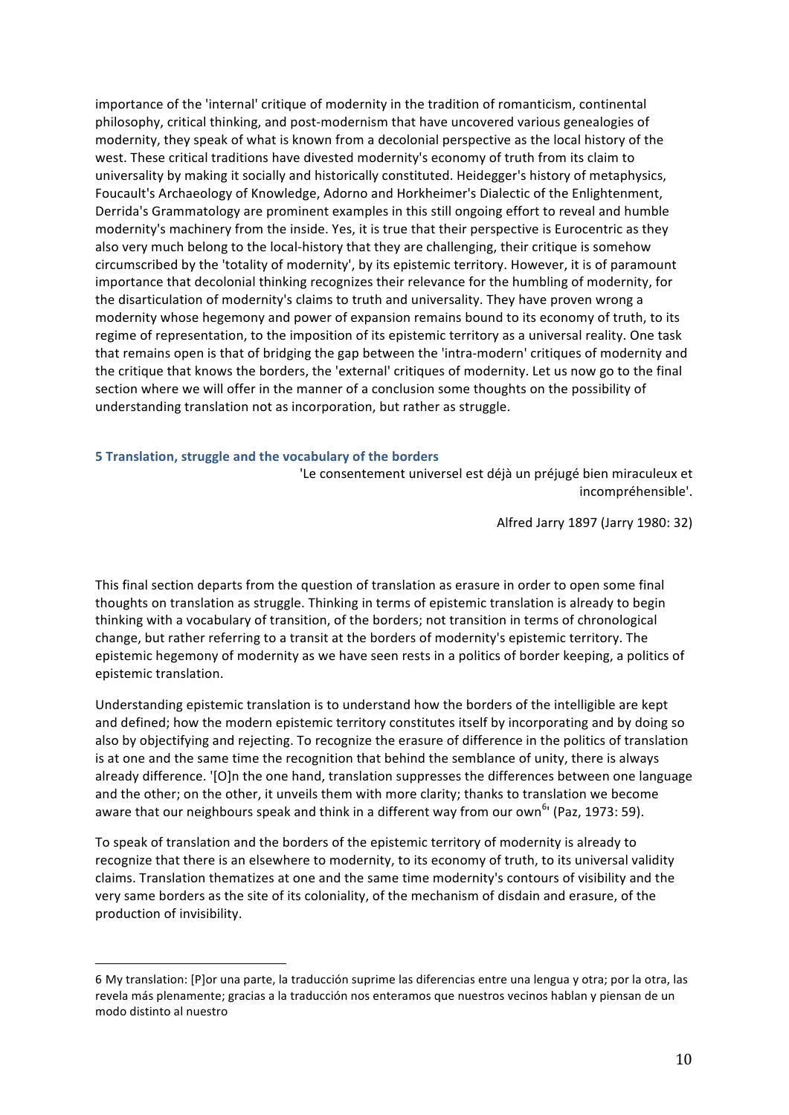importance of the 'internal' critique of modernity in the tradition of romanticism, continental philosophy, critical thinking, and post-modernism that have uncovered various genealogies of modernity, they speak of what is known from a decolonial perspective as the local history of the west. These critical traditions have divested modernity's economy of truth from its claim to universality by making it socially and historically constituted. Heidegger's history of metaphysics, Foucault's Archaeology of Knowledge, Adorno and Horkheimer's Dialectic of the Enlightenment, Derrida's Grammatology are prominent examples in this still ongoing effort to reveal and humble modernity's machinery from the inside. Yes, it is true that their perspective is Eurocentric as they also very much belong to the local-history that they are challenging, their critique is somehow circumscribed by the 'totality of modernity', by its epistemic territory. However, it is of paramount importance that decolonial thinking recognizes their relevance for the humbling of modernity, for the disarticulation of modernity's claims to truth and universality. They have proven wrong a modernity whose hegemony and power of expansion remains bound to its economy of truth, to its regime of representation, to the imposition of its epistemic territory as a universal reality. One task that remains open is that of bridging the gap between the 'intra-modern' critiques of modernity and the critique that knows the borders, the 'external' critiques of modernity. Let us now go to the final section where we will offer in the manner of a conclusion some thoughts on the possibility of understanding translation not as incorporation, but rather as struggle.

### **5 Translation, struggle and the vocabulary of the borders**

 

'Le consentement universel est déjà un préjugé bien miraculeux et incompréhensible'.

Alfred Jarry 1897 (Jarry 1980: 32)

This final section departs from the question of translation as erasure in order to open some final thoughts on translation as struggle. Thinking in terms of epistemic translation is already to begin thinking with a vocabulary of transition, of the borders; not transition in terms of chronological change, but rather referring to a transit at the borders of modernity's epistemic territory. The epistemic hegemony of modernity as we have seen rests in a politics of border keeping, a politics of epistemic translation. 

Understanding epistemic translation is to understand how the borders of the intelligible are kept and defined; how the modern epistemic territory constitutes itself by incorporating and by doing so also by objectifying and rejecting. To recognize the erasure of difference in the politics of translation is at one and the same time the recognition that behind the semblance of unity, there is always already difference. '[O]n the one hand, translation suppresses the differences between one language and the other; on the other, it unveils them with more clarity; thanks to translation we become aware that our neighbours speak and think in a different way from our own<sup>6</sup>' (Paz, 1973: 59).

To speak of translation and the borders of the epistemic territory of modernity is already to recognize that there is an elsewhere to modernity, to its economy of truth, to its universal validity claims. Translation thematizes at one and the same time modernity's contours of visibility and the very same borders as the site of its coloniality, of the mechanism of disdain and erasure, of the production of invisibility.

<sup>6</sup> My translation: [P]or una parte, la traducción suprime las diferencias entre una lengua y otra; por la otra, las revela más plenamente; gracias a la traducción nos enteramos que nuestros vecinos hablan y piensan de un modo distinto al nuestro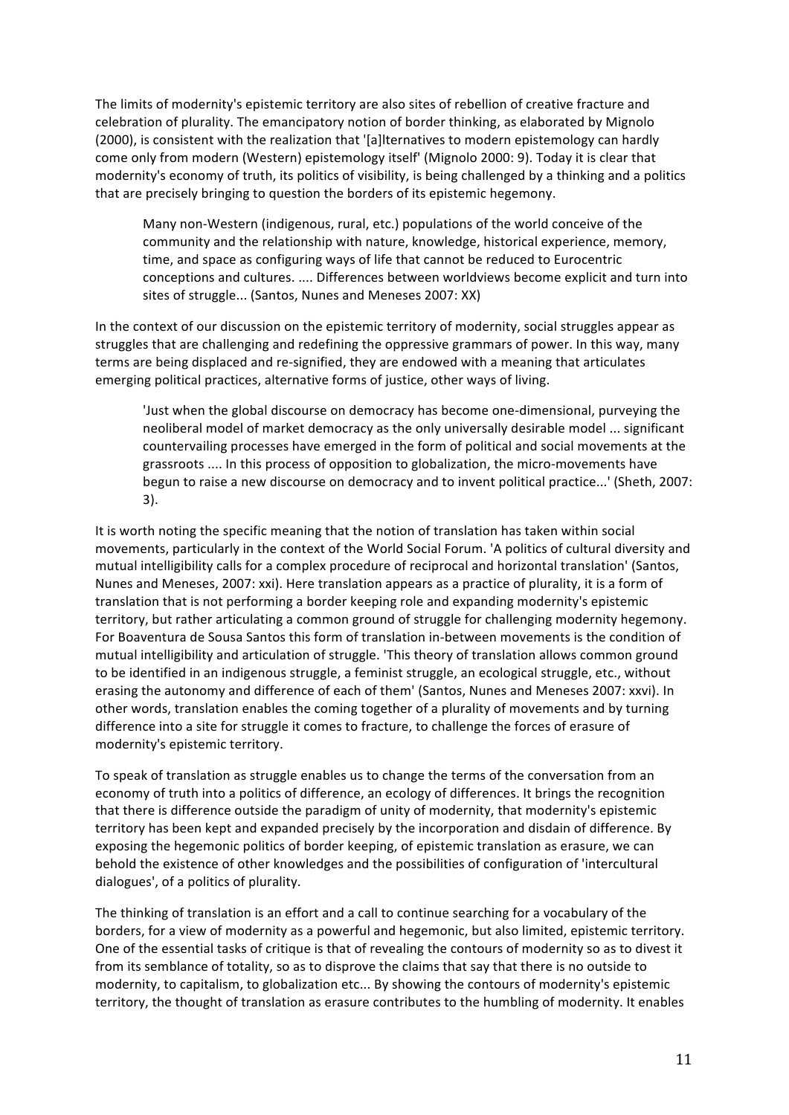The limits of modernity's epistemic territory are also sites of rebellion of creative fracture and celebration of plurality. The emancipatory notion of border thinking, as elaborated by Mignolo (2000), is consistent with the realization that '[a]lternatives to modern epistemology can hardly come only from modern (Western) epistemology itself' (Mignolo 2000: 9). Today it is clear that modernity's economy of truth, its politics of visibility, is being challenged by a thinking and a politics that are precisely bringing to question the borders of its epistemic hegemony.

Many non-Western (indigenous, rural, etc.) populations of the world conceive of the community and the relationship with nature, knowledge, historical experience, memory, time, and space as configuring ways of life that cannot be reduced to Eurocentric conceptions and cultures. .... Differences between worldviews become explicit and turn into sites of struggle... (Santos, Nunes and Meneses 2007: XX)

In the context of our discussion on the epistemic territory of modernity, social struggles appear as struggles that are challenging and redefining the oppressive grammars of power. In this way, many terms are being displaced and re-signified, they are endowed with a meaning that articulates emerging political practices, alternative forms of justice, other ways of living.

'Just when the global discourse on democracy has become one-dimensional, purveying the neoliberal model of market democracy as the only universally desirable model ... significant countervailing processes have emerged in the form of political and social movements at the grassroots .... In this process of opposition to globalization, the micro-movements have begun to raise a new discourse on democracy and to invent political practice...' (Sheth, 2007: 3).

It is worth noting the specific meaning that the notion of translation has taken within social movements, particularly in the context of the World Social Forum. 'A politics of cultural diversity and mutual intelligibility calls for a complex procedure of reciprocal and horizontal translation' (Santos, Nunes and Meneses, 2007: xxi). Here translation appears as a practice of plurality, it is a form of translation that is not performing a border keeping role and expanding modernity's epistemic territory, but rather articulating a common ground of struggle for challenging modernity hegemony. For Boaventura de Sousa Santos this form of translation in-between movements is the condition of mutual intelligibility and articulation of struggle. 'This theory of translation allows common ground to be identified in an indigenous struggle, a feminist struggle, an ecological struggle, etc., without erasing the autonomy and difference of each of them' (Santos, Nunes and Meneses 2007: xxvi). In other words, translation enables the coming together of a plurality of movements and by turning difference into a site for struggle it comes to fracture, to challenge the forces of erasure of modernity's epistemic territory.

To speak of translation as struggle enables us to change the terms of the conversation from an economy of truth into a politics of difference, an ecology of differences. It brings the recognition that there is difference outside the paradigm of unity of modernity, that modernity's epistemic territory has been kept and expanded precisely by the incorporation and disdain of difference. By exposing the hegemonic politics of border keeping, of epistemic translation as erasure, we can behold the existence of other knowledges and the possibilities of configuration of 'intercultural dialogues', of a politics of plurality.

The thinking of translation is an effort and a call to continue searching for a vocabulary of the borders, for a view of modernity as a powerful and hegemonic, but also limited, epistemic territory. One of the essential tasks of critique is that of revealing the contours of modernity so as to divest it from its semblance of totality, so as to disprove the claims that say that there is no outside to modernity, to capitalism, to globalization etc... By showing the contours of modernity's epistemic territory, the thought of translation as erasure contributes to the humbling of modernity. It enables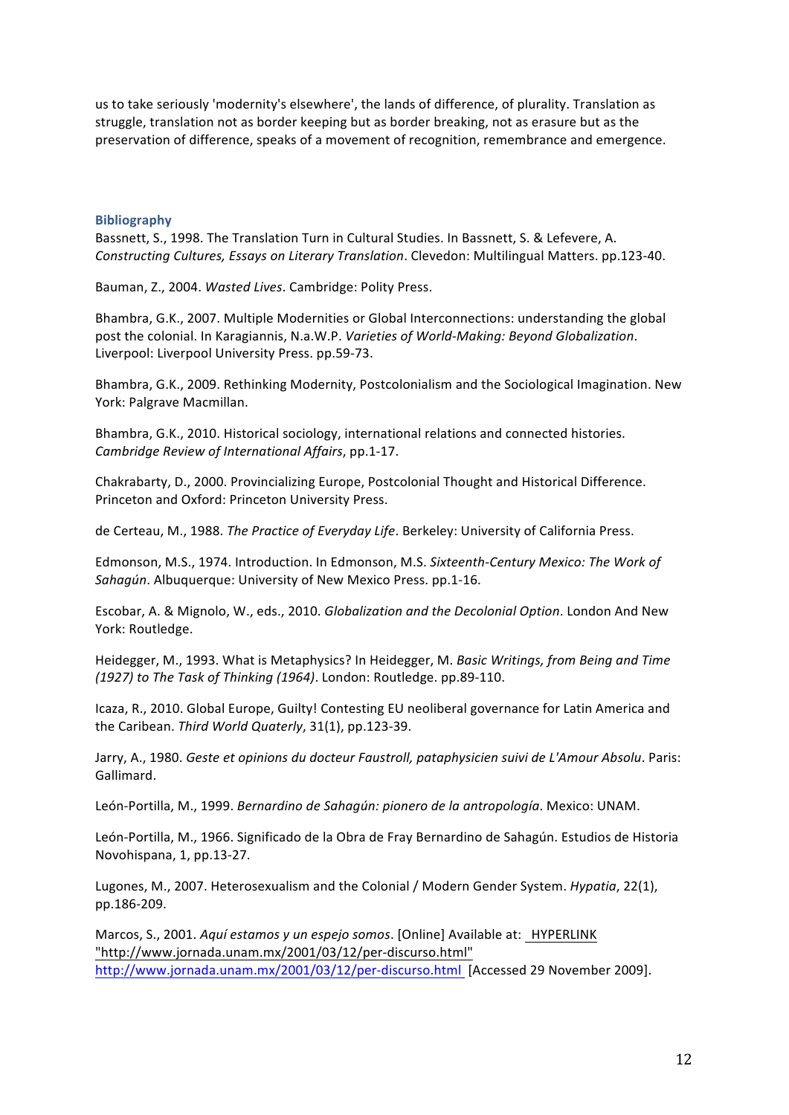us to take seriously 'modernity's elsewhere', the lands of difference, of plurality. Translation as struggle, translation not as border keeping but as border breaking, not as erasure but as the preservation of difference, speaks of a movement of recognition, remembrance and emergence.

#### **Bibliography**

Bassnett, S., 1998. The Translation Turn in Cultural Studies. In Bassnett, S. & Lefevere, A. *Constructing Cultures, Essays on Literary Translation. Clevedon: Multilingual Matters. pp.123-40.* 

Bauman, Z., 2004. Wasted Lives. Cambridge: Polity Press.

Bhambra, G.K., 2007. Multiple Modernities or Global Interconnections: understanding the global post the colonial. In Karagiannis, N.a.W.P. *Varieties of World-Making: Beyond Globalization*. Liverpool: Liverpool University Press. pp.59-73.

Bhambra, G.K., 2009. Rethinking Modernity, Postcolonialism and the Sociological Imagination. New York: Palgrave Macmillan.

Bhambra, G.K., 2010. Historical sociology, international relations and connected histories. *Cambridge Review of International Affairs*, pp.1-17.

Chakrabarty, D., 2000. Provincializing Europe, Postcolonial Thought and Historical Difference. Princeton and Oxford: Princeton University Press.

de Certeau, M., 1988. The Practice of Everyday Life. Berkeley: University of California Press.

Edmonson, M.S., 1974. Introduction. In Edmonson, M.S. Sixteenth-Century Mexico: The Work of Sahagún. Albuquerque: University of New Mexico Press. pp.1-16.

Escobar, A. & Mignolo, W., eds., 2010. *Globalization and the Decolonial Option*. London And New York: Routledge.

Heidegger, M., 1993. What is Metaphysics? In Heidegger, M. *Basic Writings, from Being and Time (1927)* to The Task of Thinking (1964). London: Routledge. pp.89-110.

Icaza, R., 2010. Global Europe, Guilty! Contesting EU neoliberal governance for Latin America and the Caribean. Third World Quaterly, 31(1), pp.123-39.

Jarry, A., 1980. Geste et opinions du docteur Faustroll, pataphysicien suivi de L'Amour Absolu. Paris: Gallimard.

León-Portilla, M., 1999. *Bernardino de Sahagún: pionero de la antropología*. Mexico: UNAM.

León-Portilla, M., 1966. Significado de la Obra de Fray Bernardino de Sahagún. Estudios de Historia Novohispana, 1, pp.13-27.

Lugones, M., 2007. Heterosexualism and the Colonial / Modern Gender System. *Hypatia*, 22(1), pp.186-209.

Marcos, S., 2001. Aquí estamos y un espejo somos. [Online] Available at: HYPERLINK "http://www.jornada.unam.mx/2001/03/12/per-discurso.html" http://www.jornada.unam.mx/2001/03/12/per-discurso.html [Accessed 29 November 2009].